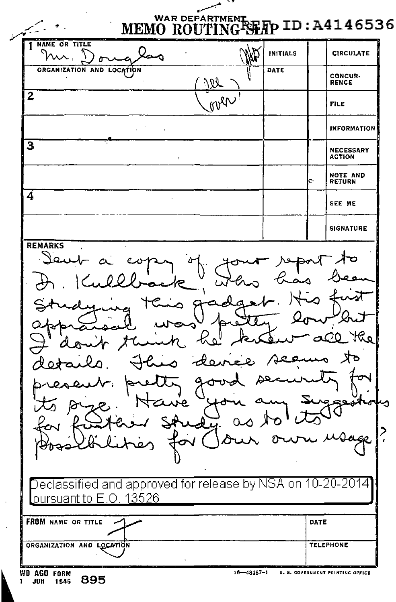| <b>1 NAME OR TITLE</b><br>ᆻ.<br>α                                                                                                     |                                                                                | <b>INITIALS</b> | <b>CIRCULATE</b>                      |
|---------------------------------------------------------------------------------------------------------------------------------------|--------------------------------------------------------------------------------|-----------------|---------------------------------------|
| ORGANIZATION AND LOCATION                                                                                                             | VI                                                                             | DATE            | <b>CONCUR-</b><br><b>RENCE</b>        |
| $\overline{2}$                                                                                                                        | over                                                                           |                 | FILE                                  |
|                                                                                                                                       |                                                                                |                 | <b>INFORMATION</b>                    |
| 3                                                                                                                                     |                                                                                |                 | <b>NECESSARY</b><br><b>ACTION</b>     |
|                                                                                                                                       |                                                                                |                 | <b>NOTE AND</b><br>e<br><b>RETURN</b> |
| 4                                                                                                                                     |                                                                                |                 | SEE ME                                |
|                                                                                                                                       |                                                                                |                 | <b>SIGNATURE</b>                      |
|                                                                                                                                       | o<br>للح<br>o.<br>ົ                                                            |                 | Ó                                     |
|                                                                                                                                       | r a<br>ه ه<br>كالمهر<br>ᡐᡈ<br>$\mathbf{r}$<br>$\epsilon$<br>$\sum$<br>$\alpha$ | $\mathbf{r}$    | مكا<br>-6                             |
| $\overline{\text{Declassified}}$ and approved for release by NSA on 10-20-2014 $\overline{\text{E}}$<br><u>pursuant to E.O. 13526</u> |                                                                                |                 |                                       |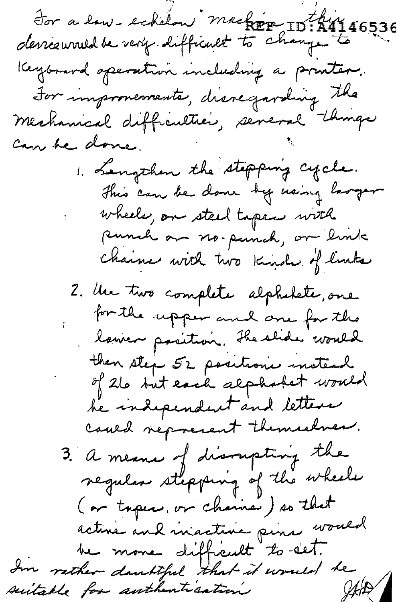For a low-echilon machin ID:A4146536<br>derreeurved be very difficult to change to Keybourd operation including a printer. For improvements, disregarding the mechanical difficultier, several things Can be done. 1. Lengthen the stepping cycle. This can be done by using larger wheele, on steel topen with punch on no-punch, or link Chaines with two kinds of links 2. Use two complete alphabete, one for the upper and one for the lawer pasition. The slide would then step 52 positions instead of 26 but each alphabet would be independent and letters caused nepresent themselves. 3. a means of disompting the negular stepping of the wheele (or topics, or chainse) so that active and inactive pine would be more difficult to set.<br>In rether danktful that it would be suitable for authentication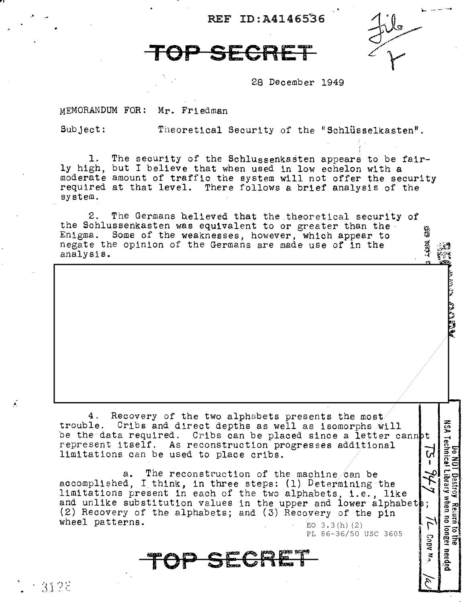REF ID:A41465'36

## **TOP SECRET**

28 December 1949

MEMORANDUM FOR: Mr. Friedman

,.,

f'.

3126

Subject: Theoretical Security of the "Schlüsselkasten".

1. ly high, but I believe that when used in low echelon with a moderate amount of traffic the system will not offer the security required at that level. There follows a brief analysis of the system. The security of the Schlussenkasten appears to be fair-

2. The Germans helieved that the theoretical security of the Schlussenkasten was equivalent to or greater than the the Schlussenkasten was equivalent to or greater than the Enigma. Some of the weaknesses, however, which appear to negate the opinion of the Germans are made use of in the analysis.

4. Recovery of the two alphabets presents the most. trouble. Cribs and. direct depths as well as isomorphs will be the data required. Cribs can be placed since a letter cannot represent itself. As reconstruction progresses additional  $\begin{bmatrix} -1 \\ 0 \end{bmatrix}$ limitations can be used to place cribs.

a. The reconstruction of the machine can be accomplished, I think, in three steps: (1) Determining the limitations present in each of the two alphabets, i.e., like and unlike substitution values in the upper and lower alphabets;  $(2)$  Recovery of the alphabets; and  $(3)$  Recovery of the pin wheel patterns.  $E_0$  3.3(h)(2)

PL 86-36/50 USC 3605

 $\mathbb{S}$  $^{\circ}$   $^{\circ}$ 

 $\mathcal{L}_{\mathcal{L}}$ 

**Do No No NU**<br>NSA Technical

T Destroy Reiurn<br>Library when no

 $\overline{g}$  at

1943 1969

**TeP** SEGftE:r ::s